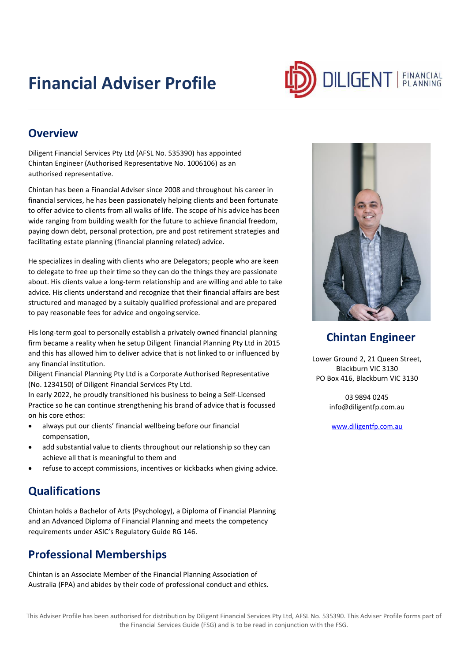## **Financial Adviser Profile**



#### **Overview**

Diligent Financial Services Pty Ltd (AFSL No. 535390) has appointed Chintan Engineer (Authorised Representative No. 1006106) as an authorised representative.

Chintan has been a Financial Adviser since 2008 and throughout his career in financial services, he has been passionately helping clients and been fortunate to offer advice to clients from all walks of life. The scope of his advice has been wide ranging from building wealth for the future to achieve financial freedom, paying down debt, personal protection, pre and post retirement strategies and facilitating estate planning (financial planning related) advice.

He specializes in dealing with clients who are Delegators; people who are keen to delegate to free up their time so they can do the things they are passionate about. His clients value a long-term relationship and are willing and able to take advice. His clients understand and recognize that their financial affairs are best structured and managed by a suitably qualified professional and are prepared to pay reasonable fees for advice and ongoing service.

His long-term goal to personally establish a privately owned financial planning firm became a reality when he setup Diligent Financial Planning Pty Ltd in 2015 and this has allowed him to deliver advice that is not linked to or influenced by any financial institution.

Diligent Financial Planning Pty Ltd is a Corporate Authorised Representative (No. 1234150) of Diligent Financial Services Pty Ltd.

In early 2022, he proudly transitioned his business to being a Self-Licensed Practice so he can continue strengthening his brand of advice that is focussed on his core ethos:

- always put our clients' financial wellbeing before our financial compensation,
- add substantial value to clients throughout our relationship so they can achieve all that is meaningful to them and
- refuse to accept commissions, incentives or kickbacks when giving advice.

## **Qualifications**

Chintan holds a Bachelor of Arts (Psychology), a Diploma of Financial Planning and an Advanced Diploma of Financial Planning and meets the competency requirements under ASIC's Regulatory Guide RG 146.

## **Professional Memberships**

Chintan is an Associate Member of the Financial Planning Association of Australia (FPA) and abides by their code of professional conduct and ethics.



#### **Chintan Engineer**

Lower Ground 2, 21 Queen Street, Blackburn VIC 3130 PO Box 416, Blackburn VIC 3130

> 03 9894 0245 [info@diligentfp.com.au](mailto:info@diligentfp.com.au)

[www.diligentfp.com.au](http://www.diligentfp.com.au/)